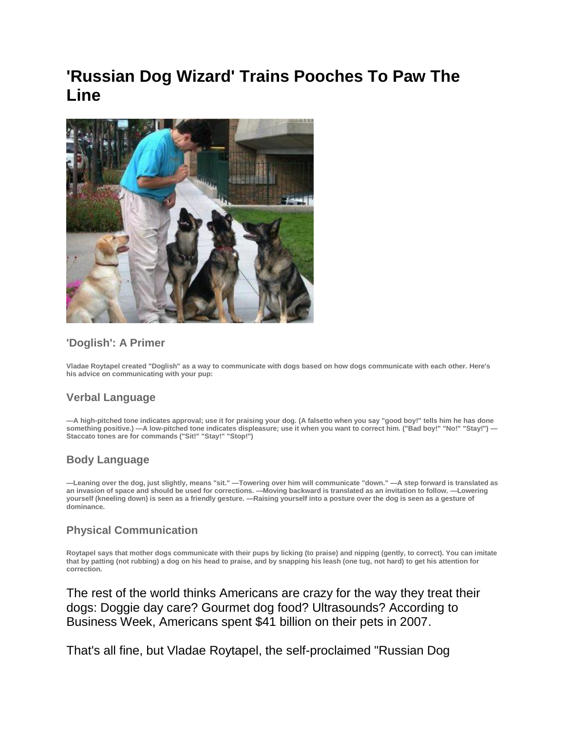# **'Russian Dog Wizard' Trains Pooches To Paw The Line**



## **'Doglish': A Primer**

**Vladae Roytapel created "Doglish" as a way to communicate with dogs based on how dogs communicate with each other. Here's his advice on communicating with your pup:**

## **Verbal Language**

**—A high-pitched tone indicates approval; use it for praising your dog. (A falsetto when you say "good boy!" tells him he has done something positive.) —A low-pitched tone indicates displeasure; use it when you want to correct him. ("Bad boy!" "No!" "Stay!") — Staccato tones are for commands ("Sit!" "Stay!" "Stop!")**

## **Body Language**

**—Leaning over the dog, just slightly, means "sit." —Towering over him will communicate "down." —A step forward is translated as an invasion of space and should be used for corrections. —Moving backward is translated as an invitation to follow. —Lowering yourself (kneeling down) is seen as a friendly gesture. —Raising yourself into a posture over the dog is seen as a gesture of dominance.**

#### **Physical Communication**

**Roytapel says that mother dogs communicate with their pups by licking (to praise) and nipping (gently, to correct). You can imitate that by patting (not rubbing) a dog on his head to praise, and by snapping his leash (one tug, not hard) to get his attention for correction.**

The rest of the world thinks Americans are crazy for the way they treat their dogs: Doggie day care? Gourmet dog food? Ultrasounds? According to Business Week, Americans spent \$41 billion on their pets in 2007.

That's all fine, but Vladae Roytapel, the self-proclaimed "Russian Dog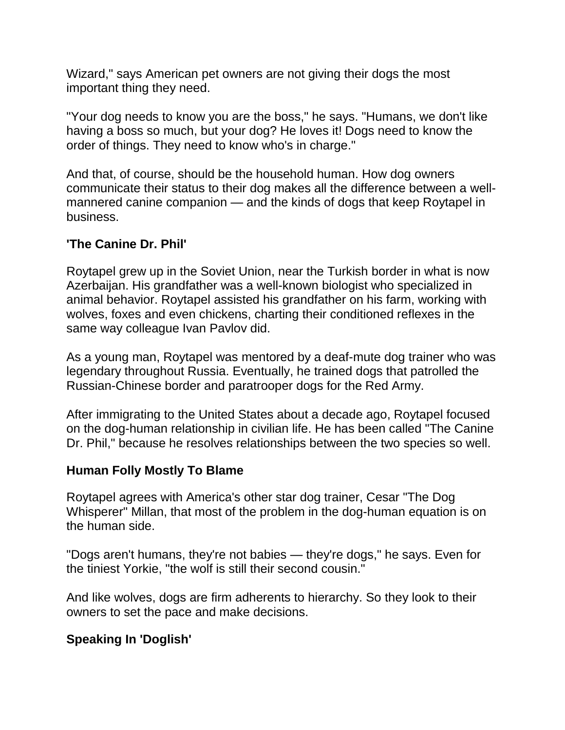Wizard," says American pet owners are not giving their dogs the most important thing they need.

"Your dog needs to know you are the boss," he says. "Humans, we don't like having a boss so much, but your dog? He loves it! Dogs need to know the order of things. They need to know who's in charge."

And that, of course, should be the household human. How dog owners communicate their status to their dog makes all the difference between a wellmannered canine companion — and the kinds of dogs that keep Roytapel in business.

# **'The Canine Dr. Phil'**

Roytapel grew up in the Soviet Union, near the Turkish border in what is now Azerbaijan. His grandfather was a well-known biologist who specialized in animal behavior. Roytapel assisted his grandfather on his farm, working with wolves, foxes and even chickens, charting their conditioned reflexes in the same way colleague Ivan Pavlov did.

As a young man, Roytapel was mentored by a deaf-mute dog trainer who was legendary throughout Russia. Eventually, he trained dogs that patrolled the Russian-Chinese border and paratrooper dogs for the Red Army.

After immigrating to the United States about a decade ago, Roytapel focused on the dog-human relationship in civilian life. He has been called "The Canine Dr. Phil," because he resolves relationships between the two species so well.

# **Human Folly Mostly To Blame**

Roytapel agrees with America's other star dog trainer, Cesar "The Dog Whisperer" Millan, that most of the problem in the dog-human equation is on the human side.

"Dogs aren't humans, they're not babies — they're dogs," he says. Even for the tiniest Yorkie, "the wolf is still their second cousin."

And like wolves, dogs are firm adherents to hierarchy. So they look to their owners to set the pace and make decisions.

# **Speaking In 'Doglish'**